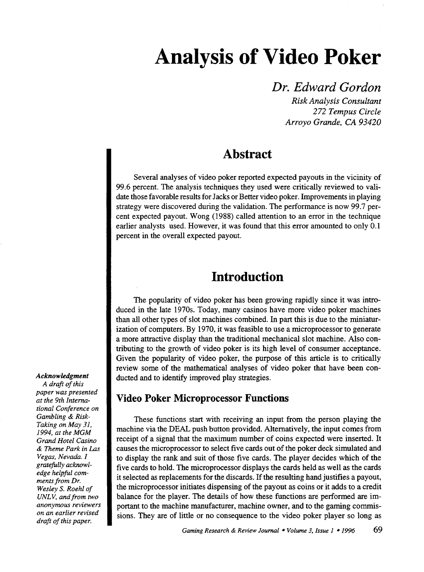# **Analysis of Video Poker**

### *Dr. Edward Gordon*

*Risk Analysis Consultant 272 Tempus Circle Arroyo Grande, CA 93420* 

### **Abstract**

Several analyses of video poker reported expected payouts in the vicinity of 99.6 percent. The analysis techniques they used were critically reviewed to validate those favorable results for Jacks or Better video poker. Improvements in playing strategy were discovered during the validation. The performance is now 99.7 percent expected payout. Wong (1988) called attention to an error in the technique earlier analysts used. However, it was found that this error amounted to only 0.1 percent in the overall expected payout.

### **Introduction**

The popularity of video poker has been growing rapidly since it was introduced in the late 1970s. Today, many casinos have more video poker machines than all other types of slot machines combined. In part this is due to the miniaturization of computers. By 1970, it was feasible to use a microprocessor to generate a more attractive display than the traditional mechanical slot machine. Also contributing to the growth of video poker is its high level of consumer acceptance. Given the popularity of video poker, the purpose of this article is to critically review some of the mathematical analyses of video poker that have been conducted and to identify improved play strategies.

### **Video Poker Microprocessor Functions**

These functions start with receiving an input from the person playing the machine via the DEAL push button provided. Alternatively, the input comes from receipt of a signal that the maximum number of coins expected were inserted. It causes the microprocessor to select five cards out of the poker deck simulated and to display the rank and suit of those five cards. The player decides which of the five cards to hold. The microprocessor displays the cards held as well as the cards it selected as replacements for the discards. If the resulting hand justifies a payout, the microprocessor initiates dispensing of the payout as coins or it adds to a credit balance for the player. The details of how these functions are performed are important to the machine manufacturer, machine owner, and to the gaming commissions. They are of little or no consequence to the video poker player so long as

#### *Acknowledgment A draft of this*

*paper was presented at the 9th International Conference on Gambling* & *Risk-Taking on May 3I, 1994, at the MGM Grand Hotel Casino & Theme Park in Las Vegas, Nevada. I gratefully acknowledge helpful comments from Dr. Wesley S. Roehl of UNLV, and from two anonymous reviewers on an earlier revised draft of this paper.*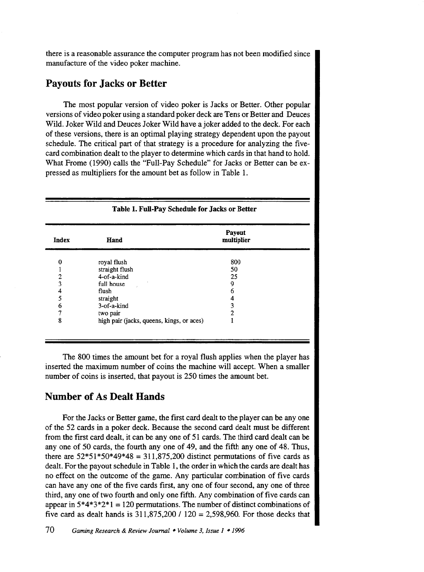there is a reasonable assurance the computer program has not been modified since manufacture of the video poker machine.

### **Payouts for Jacks or Better**

The most popular version of video poker is Jacks or Better. Other popular versions of video poker using a standard poker deck are Tens or Better and Deuces Wild. Joker Wild and Deuces Joker Wild have a joker added to the deck. For each of these versions, there is an optimal playing strategy dependent upon the payout schedule. The critical part of that strategy is a procedure for analyzing the fivecard combination dealt to the player to determine which cards in that hand to hold. What Frome (1990) calls the "Full-Pay Schedule" for Jacks or Better can be expressed as multipliers for the amount bet as follow in Table 1.

|       | Table 1. Full-Pay Schedule for Jacks or Better |                      |  |
|-------|------------------------------------------------|----------------------|--|
| Index | Hand                                           | Payout<br>multiplier |  |
| 0     | royal flush                                    | 800                  |  |
|       | straight flush                                 | 50                   |  |
| 2     | $4$ -of-a-kind                                 | 25                   |  |
| 3     | full house                                     | 9                    |  |
| 4     | flush                                          | 6                    |  |
| 5     | straight                                       | 4                    |  |
| 6     | 3-of-a-kind                                    | 3                    |  |
| 7     | two pair                                       | 2                    |  |
| 8     | high pair (jacks, queens, kings, or aces)      |                      |  |

The 800 times the amount bet for a royal flush applies when the player has inserted the maximum number of coins the machine will accept. When a smaller number of coins is inserted, that payout is 250 times the amount bet.

### **Number of As Dealt Hands**

For the Jacks or Better game, the first card dealt to the player can be any one of the 52 cards in a poker deck. Because the second card dealt must be different from the first card dealt, it can be any one of 51 cards. The third card dealt can be any one of 50 cards, the fourth any one of 49, and the fifth any one of 48. Thus, there are  $52*51*50*49*48 = 311,875,200$  distinct permutations of five cards as dealt. For the payout schedule in Table 1, the order in which the cards are dealt has no effect on the outcome of the game. Any particular combination of five cards can have any one of the five cards first, any one of four second, any one of three third, any one of two fourth and only one fifth. Any combination of five cards can appear in  $5*4*3*2*1 = 120$  permutations. The number of distinct combinations of five card as dealt hands is  $311,875,200$  /  $120 = 2,598,960$ . For those decks that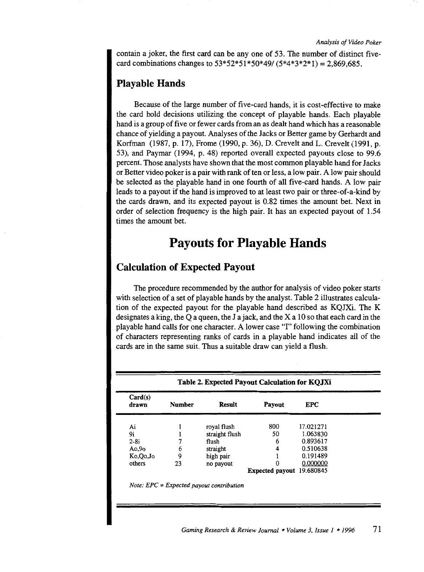contain a joker, the first card can be any one of 53. The number of distinct fivecard combinations changes to  $53*52*51*50*49/ (5*4*3*2*1) = 2,869,685$ .

#### **Playable Hands**

Because of the large number of five-card hands, it is cost-effective to make the card hold decisions utilizing the concept of playable hands. Each playable hand is a group of five or fewer cards from an as dealt hand which has a reasonable chance of yielding a payout. Analyses of the Jacks or Better game by Gerhardt and Korfman (1987, p. 17), Frome (1990, p. 36), D. Crevelt and L. Crevelt (1991, p. 53), and Paymar (1994, p. 48) reported overall expected payouts close to 99.6 percent. Those analysts have shown that the most common playable hand for Jacks or Better video poker is a pair with rank of ten or less, a low pair. A low pair should be selected as the playable hand in one fourth of all five-card hands. A low pair leads to a payout if the hand is improved to at least two pair or three-of-a-kind by the cards drawn, and its expected payout is 0.82 times the amount bet. Next in order of selection frequency is the high pair. It has an expected payout of 1.54 times the amount bet.

### **Payouts for Playable Hands**

### **Calculation of Expected Payout**

The procedure recommended by the author for analysis of video poker starts with selection of a set of playable hands by the analyst. Table 2 illustrates calculation of the expected payout for the playable hand described as KQJXi. The K designates a king, the Q a queen, the J a jack, and the X a 10 so that each card in the playable hand calls for one character. A lower case "I" following the combination of characters representing ranks of cards in a playable hand indicates all of the cards are in the same suit. Thus a suitable draw can yield a flush.

| Table 2. Expected Payout Calculation for KQJXi |               |                |                           |            |  |  |
|------------------------------------------------|---------------|----------------|---------------------------|------------|--|--|
| Card(s)<br>drawn                               | <b>Number</b> | <b>Result</b>  | Payout                    | <b>EPC</b> |  |  |
| Ai                                             |               | roval flush    | 800                       | 17.021271  |  |  |
| 9i                                             |               | straight flush | 50                        | 1.063830   |  |  |
| $2-8i$                                         | 7             | flush          | 6                         | 0.893617   |  |  |
| A <sub>0</sub> , 9 <sub>0</sub>                | 6             | straight       | 4                         | 0.510638   |  |  |
| Ko,Oo,Jo                                       | 9             | high pair      |                           | 0.191489   |  |  |
| others                                         | 23            | no payout      | $\Omega$                  | 0.000000   |  |  |
|                                                |               |                | Expected payout 19.680845 |            |  |  |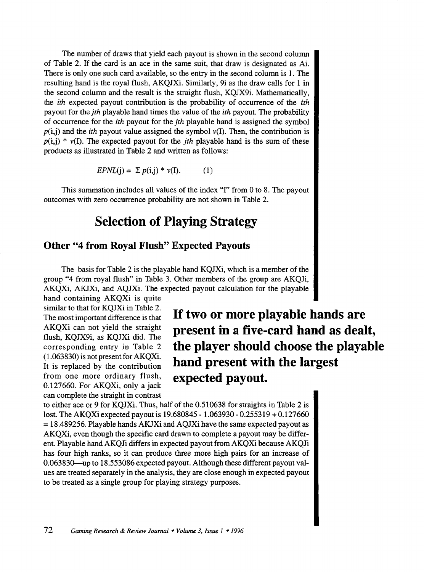The number of draws that yield each payout is shown in the second column of Table 2. If the card is an ace in the same suit, that draw is designated as Ai. There is only one such card available, so the entry in the second column is 1. The resulting hand is the royal flush, AKQJXi. Similarly, 9i as the draw calls for 1 in the second column and the result is the straight flush, KQJX9i. Mathematically, the *ith* expected payout contribution is the probability of occurrence of the *ith*  payout for the *jth* playable hand times the value of the *ith* payout. The probability of occurrence for the *ith* payout for the *jth* playable hand is assigned the symbol  $p(i,j)$  and the *ith* payout value assigned the symbol  $v(I)$ . Then, the contribution is  $p(i,j) * v(I)$ . The expected payout for the *jth* playable hand is the sum of these products as illustrated in Table 2 and written as follows:

$$
EPNL(j) = \sum p(i,j) * \nu(I). \tag{1}
$$

This summation includes all values of the index "I" from 0 to 8. The payout outcomes with zero occurrence probability are not shown in Table 2.

### **Selection of Playing Strategy**

#### **Other "4 from Royal Flush" Expected Payouts**

The basis for Table 2 is the playable hand KQJXi, which is a member of the group "4 from royal flush" in Table 3. Other members of the group are AKQJi, AKQXi, AKJXi, and AQJXi. The expected payout calculation for the playable

hand containing AKQXi is quite similar to that for KQJXi in Table 2. The most important difference is that AKQXi can not yield the straight flush, KQJX9i, as KQJXi did. The corresponding entry in Table 2 (1.063830) is not present for AKQXi. It is replaced by the contribution from one more ordinary flush, 0.127660. For AKQXi, only a jack can complete the straight in contrast

**If two or more playable hands are present in a five-card hand as dealt, the player should choose the playable hand present with the largest expected payout.** 

to either ace or 9 for KQJXi. Thus, half of the 0.510638 for straights in Table 2 is lost. The AKQXi expected payout is 19.680845- 1.063930-0.255319 + 0.127660  $= 18.489256$ . Playable hands AKJXi and AQJXi have the same expected payout as AKQXi, even though the specific card drawn to complete a payout may be different. Playable hand AKQJi differs in expected payout from AKQXi because AKQJi has four high ranks, so it can produce three more high pairs for an increase of 0.063830-up to 18.553086 expected payout. Although these different payout values are treated separately in the analysis, they are close enough in expected payout to be treated as a single group for playing strategy purposes.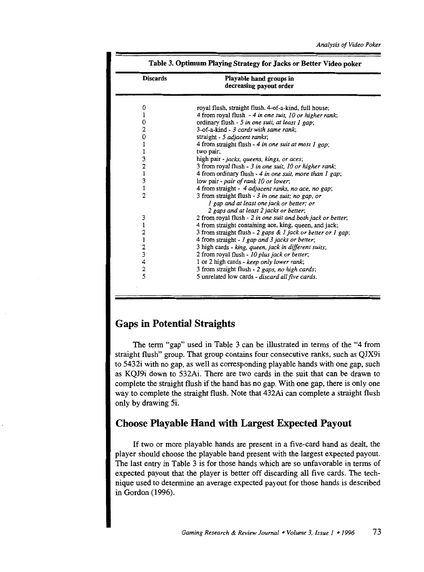| <b>Discards</b>                                 | Playable hand groups in<br>decreasing payout order                                                                                       |  |  |
|-------------------------------------------------|------------------------------------------------------------------------------------------------------------------------------------------|--|--|
| 0                                               | royal flush, straight flush, 4-of-a-kind, full house;                                                                                    |  |  |
|                                                 | 4 from royal flush - 4 in one suit, 10 or higher rank;                                                                                   |  |  |
| 0                                               | ordinary flush - 5 in one suit, at least 1 gap;                                                                                          |  |  |
| 2                                               | 3-of-a-kind - 3 cards with same rank:                                                                                                    |  |  |
| $\boldsymbol{0}$                                | straight - 5 adjacent ranks;                                                                                                             |  |  |
| 1                                               | 4 from straight flush - 4 in one suit at most 1 gap;                                                                                     |  |  |
| 1                                               | two pair;                                                                                                                                |  |  |
| $\begin{array}{c} 3 \\ 2 \\ 1 \\ 3 \end{array}$ | high pair - jacks, queens, kings, or aces;                                                                                               |  |  |
|                                                 | 3 from royal flush - 3 in one suit, 10 or higher rank;                                                                                   |  |  |
|                                                 | 4 from ordinary flush - 4 in one suit, more than I gap;                                                                                  |  |  |
|                                                 | low pair - pair of rank 10 or lower;                                                                                                     |  |  |
| $\pmb{1}$                                       | 4 from straight - 4 adjacent ranks, no ace, no gap;                                                                                      |  |  |
| $\overline{2}$                                  | 3 from straight flush - 3 in one suit; no gap, or<br>I gap and at least one jack or better; or<br>2 gaps and at least 2 jacks or better; |  |  |
| 3                                               | 2 from royal flush - 2 in one suit and both jack or better;                                                                              |  |  |
| 1                                               | 4 from straight containing ace, king, queen, and jack;                                                                                   |  |  |
| $\overline{\mathbf{c}}$                         | 3 from straight flush - 2 gaps & 1 jack or better or 1 gap;                                                                              |  |  |
|                                                 | 4 from straight - 1 gap and 3 jacks or better;                                                                                           |  |  |
|                                                 | 3 high cards - king, queen, jack in different suits;                                                                                     |  |  |
| 123425                                          | 2 from royal flush - 10 plus jack or better;                                                                                             |  |  |
|                                                 | 1 or 2 high cards - keep only lower rank;                                                                                                |  |  |
|                                                 | 3 from straight flush - 2 gaps, no high cards;                                                                                           |  |  |
|                                                 | 5 unrelated low cards - discard all five cards.                                                                                          |  |  |

### Gaps in Potential Straights

The term "gap" used in Table 3 can be illustrated in terms of the "4 from straight flush" group. That group contains four consecutive ranks, such as QJX9i to 5432i with no gap, as well as corresponding playable hands with one gap, such as KQJ9i down to 532Ai. There are two cards in the suit that can be drawn to complete the straight flush if the hand has no gap. With one gap, there is only one way to complete the straight flush. Note that 432Ai can complete a straight flush only by drawing 5i.

### Choose Playable Hand with Largest Expected Payout

If two or more playable hands are present in a five-card hand as dealt, the player should choose the playable hand present with the largest expected payout. The last entry in Table 3 is for those hands which are so unfavorable in terms of expected payout that the player is better off discarding all five cards. The technique used to determine an average expected payout for those hands is described in Gordon (1996).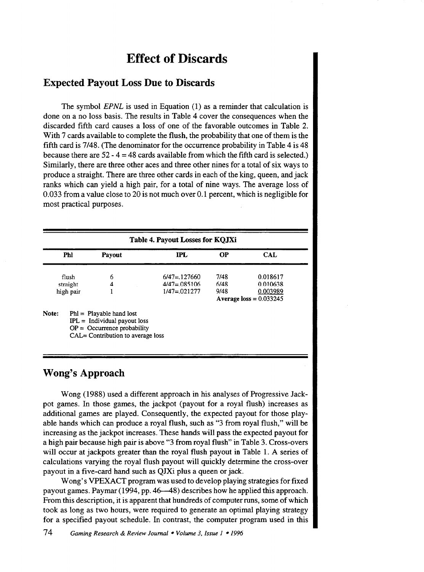### **Effect of Discards**

#### Expected Payout Loss Due to Discards

The symbol *EPNL* is used in Equation (1) as a reminder that calculation is done on a no loss basis. The results in Table 4 cover the consequences when the discarded fifth card causes a loss of one of the favorable outcomes in Table 2. With 7 cards available to complete the flush, the probability that one of them is the fifth card is 7/48. (The denominator for the occurrence probability in Table 4 is 48 because there are  $52 - 4 = 48$  cards available from which the fifth card is selected.) Similarly, there are three other aces and three other nines for a total of six ways to produce a straight. There are three other cards in each of the king, queen, and jack ranks which can yield a high pair, for a total of nine ways. The average loss of 0.033 from a value close to 20 is not much over 0.1 percent, which is negligible for most practical purposes.

| Phl | <b>Payout</b>                  | <b>IPL</b>                 | OР                        | <b>CAL</b> |
|-----|--------------------------------|----------------------------|---------------------------|------------|
|     | 6                              | $6/47 = 127660$            | 7/48                      | 0.018617   |
|     | 4                              | $4/47 = 0.085106$          | 6/48                      | 0.010638   |
|     |                                | $1/47 = 021277$            | 9/48                      | 0.003989   |
|     |                                |                            | Average loss = $0.033245$ |            |
|     | flush<br>straight<br>high pair | $Phl =$ Playable hand lost |                           |            |

### Wong's Approach

Wong (1988) used a different approach in his analyses of Progressive Jackpot games. In those games, the jackpot (payout for a royal flush) increases as additional games are played. Consequently, the expected payout for those playable hands which can produce a royal flush, such as "3 from royal flush," will be increasing as the jackpot increases. These hands will pass the expected payout for a high pair because high pair is above "3 from royal flush" in Table 3. Cross-overs will occur at jackpots greater than the royal flush payout in Table 1. A series of calculations varying the royal flush payout will quickly determine the cross-over payout in a five-card hand such as QJXi plus a queen or jack.

Wong's VPEXACT program was used to develop playing strategies for fixed payout games. Paymar(1994, pp. 46--48) describes how he applied this approach. From this description, it is apparent that hundreds of computer runs, some of which took as long as two hours, were required to generate an optimal playing strategy for a specified payout schedule. In contrast, the computer program used in this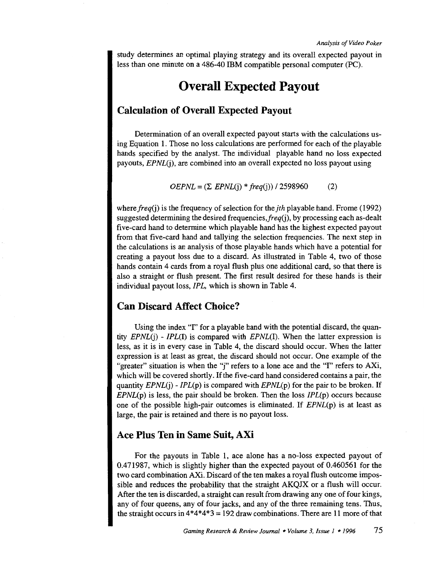study determines an optimal playing strategy and its overall expected payout in less than one minute on a 486-40 IBM compatible personal computer (PC).

### **Overall Expected Payout**

#### **Calculation of Overall Expected Payout**

Determination of an overall expected payout starts with the calculations using Equation 1. Those no loss calculations are performed for each of the playable hands specified by the analyst. The individual playable hand no loss expected payouts, *EPNL(j),* are combined into an overall expected no loss payout using

 $OEPNL = (\sum EPNL(i) * freq(i)) / 2598960$  (2)

where *freq(j)* is the frequency of selection for the *jth* playable hand. Frome (1992) suggested determining the desired frequencies, freq(j), by processing each as-dealt five-card hand to determine which playable hand has the highest expected payout from that five-card hand and tallying the selection frequencies. The next step in the calculations is an analysis of those playable hands which have a potential for creating a payout loss due to a discard. As illustrated in Table 4, two of those hands contain 4 cards from a royal flush plus one additional card, so that there is also a straight or flush present. The first result desired for these hands is their individual payout loss, *IPL,* which is shown in Table 4.

### **Can Discard Affect Choice?**

Using the index "I" for a playable hand with the potential discard, the quantity *EPNL(j)* - *IPL(I)* is compared with *EPNL(I).* When the latter expression is less, as it is in every case in Table 4, the discard should occur. When the latter expression is at least as great, the discard should not occur. One example of the "greater" situation is when the "j" refers to a lone ace and the "I" refers to AXi, which will be covered shortly. If the five-card hand considered contains a pair, the quantity *EPNL(j)- IPL(p)* is compared with *EPNL(p)* for the pair to be broken. If *EPNL(p)* is less, the pair should be broken. Then the loss *IPL(p)* occurs because one of the possible high-pair outcomes is eliminated. If *EPNL(p)* is at least as large, the pair is retained and there is no payout loss.

### **Ace Plus Ten in Same Suit, AXi**

For the payouts in Table 1, ace alone has a no-loss expected payout of 0.471987, which is slightly higher than the expected payout of 0.460561 for the two card combination AXi. Discard of the ten makes a royal flush outcome impossible and reduces the probability that the straight AKQJX or a flush will occur. After the ten is discarded, a straight can result from drawing any one of four kings, any of four queens, any of four jacks, and any of the three remaining tens. Thus, the straight occurs in  $4*4*4*3 = 192$  draw combinations. There are 11 more of that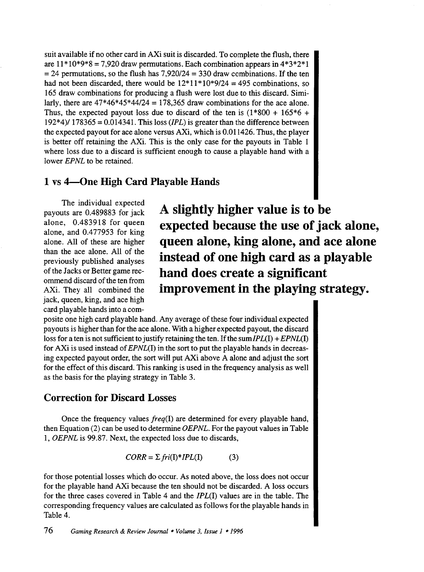suit available if no other card in AXi suit is discarded. To complete the flush, there are  $11*10*9*8 = 7,920$  draw permutations. Each combination appears in  $4*3*2*1$  $= 24$  permutations, so the flush has 7,920/24  $= 330$  draw combinations. If the ten had not been discarded, there would be  $12*11*10*9/24 = 495$  combinations, so 165 draw combinations for producing a flush were lost due to this discard. Similarly, there are  $47*46*45*44/24 = 178,365$  draw combinations for the ace alone. Thus, the expected payout loss due to discard of the ten is  $(1 * 800 + 165 * 6 +$ 192\*4)/ 178365 = 0.014341. This loss *(IPL)* is greater than the difference between the expected payout for ace alone versus AXi, which is 0.011426. Thus, the player is better off retaining the AXi. This is the only case for the payouts in Table 1 where loss due to a discard is sufficient enough to cause a playable hand with a lower *EPNL* to be retained.

### **1 vs 4-0ne High Card Playable Hands**

The individual expected payouts are 0.489883 for jack alone, 0.483918 for queen alone, and 0.477953 for king alone. All of these are higher than the ace alone. All of the previously published analyses of the Jacks or Better game recommend discard of the ten from AXi. They all combined the jack, queen, king, and ace high card playable hands into a com-

**A slightly higher value is to be expected because the use of jack alone, queen alone, king alone, and ace alone instead of one high card as a playable hand does create a significant improvement in the playing strategy.** 

posite one high card playable hand. Any average of these four individual expected payouts is higher than for the ace alone. With a higher expected payout, the discard loss for a ten is not sufficient to justify retaining the ten. If the sum/PL(I) + *EPNL(I)*  for AXi is used instead of *EPNL(I)* in the sort to put the playable hands in decreasing expected payout order, the sort will put AXi above A alone and adjust the sort for the effect of this discard. This ranking is used in the frequency analysis as well as the basis for the playing strategy in Table 3.

### **Correction for Discard Losses**

Once the frequency values *freq(l)* are determined for every playable hand, then Equation (2) can be used to determine *OEPNL.* For the payout values in Table 1, *OEPNL* is 99.87. Next, the expected loss due to discards,

 $CORR = \sum fri(I)*IPL(I)$  (3)

for those potential losses which do occur. As noted above, the loss does not occur for the playable hand AXi because the ten should not be discarded. A loss occurs for the three cases covered in Table 4 and the */PL(I)* values are in the table. The corresponding frequency values are calculated as follows for the playable hands in Table 4.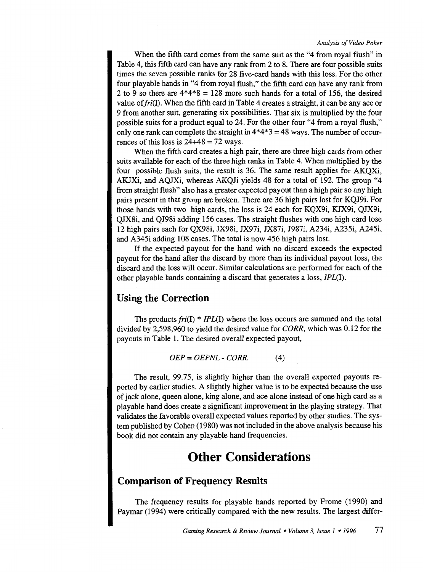When the fifth card comes from the same suit as the "4 from royal flush" in Table 4, this fifth card can have any rank from 2 to 8. There are four possible suits times the seven possible ranks for 28 five-card hands with this loss. For the other four playable hands in "4 from royal flush," the fifth card can have any rank from 2 to 9 so there are  $4*4*8 = 128$  more such hands for a total of 156, the desired value of  $fri(I)$ . When the fifth card in Table 4 creates a straight, it can be any ace or 9 from another spit, generating six possibilities. That six is multiplied by the four possible suits for a product equal to 24. For the other four "4 from a royal flush," only one rank can complete the straight in  $4*4*3 = 48$  ways. The number of occurrences of this loss is  $24+48 = 72$  ways.

When the fifth card creates a high pair, there are three high cards from other suits available for each of the three high ranks in Table 4. When multiplied by the four possible flush suits, the result is 36. The same result applies for AKQXi, AKJXi, and AQJXi, whereas AKQJi yields 48 for a total of 192. The group "4 from straight flush" also has a greater expected payout than a high pair so any high pairs present in that group are broken. There are 36 high pairs lost for KQJ9i. For those hands with two high cards, the loss is 24 each for KQX9i, KJX9i, QJX9i, QJX8i, and QJ98i adding 156 cases. The straight flushes with one high card lose 12 high pairs each for QX98i, JX98i, JX97i, JX87i, J987i, A234i, A235i, A245i, and A345i adding 108 cases. The total is now 456 high pairs lost.

If the expected payout for the hand with no discard exceeds the expected payout for the hand after the discard by more than its individual payout loss, the discard and the loss will occur. Similar calculations are performed for each of the other playable hands containing a discard that generates a loss, /PL(I).

### **Using the Correction**

The products *fri(l)* \* *IPL(l)* where the loss occurs are summed and the total divided by 2,598,960 to yield the desired value for *CORR,* which was 0.12 for the payouts in Table 1. The desired overall expected payout,

*OEP* = *OEPNL- CORR.* (4)

The result, 99.75, is slightly higher than the overall expected payouts reported by earlier studies. A slightly higher value is to be expected because the use of jack alone, queen alone, king alone, and ace alone instead of one high card as a playable hand does create a significant improvement in the playing strategy. That validates the favorable overall expected values reported by other studies. The system published by Cohen ( 1980) was not included in the above analysis because his book did not contain any playable hand frequencies.

## **Other Considerations**

### **Comparison of Frequency Results**

The frequency results for playable hands reported by Frome (1990) and Paymar (1994) were critically compared with the new results. The largest differ-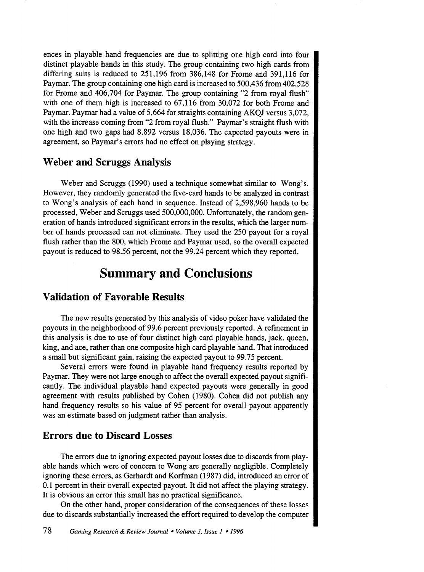ences in playable hand frequencies are due to splitting one high card into four distinct playable hands in this study. The group containing two high cards from differing suits is reduced to 251,196 from 386,148 for Frome and 391,116 for Paymar. The group containing one high card is increased to 500,436 from 402,528 for Frome and 406,704 for Paymar. The group containing "2 from royal flush" with one of them high is increased to 67,116 from 30,072 for both Frome and Paymar. Paymar had a value of 5,664 for straights containing AKQJ versus 3,072, with the increase coming from "2 from royal flush." Paymar's straight flush with one high and two gaps had 8,892 versus 18,036. The expected payouts were in agreement, so Paymar's errors had no effect on playing strategy.

### **Weber and Scruggs Analysis**

Weber and Scruggs (1990) used a technique somewhat similar to Wong's. However, they randomly generated the five-card hands to be analyzed in contrast to Wong's analysis of each hand in sequence. Instead of 2,598,960 hands to be processed, Weber and Scruggs used 500,000,000. Unfortunately, the random generation of hands introduced significant errors in the results, which the larger number of hands processed can not eliminate. They used the 250 payout for a royal flush rather than the 800, which Frome and Paymar used, so the overall expected payout is reduced to 98.56 percent, not the 99.24 percent which they reported.

### **Summary and Conclusions**

### **Validation of Favorable Results**

The new results generated by this analysis of video poker have validated the payouts in the neighborhood of 99.6 percent previously reported. A refinement in this analysis is due to use of four distinct high card playable hands, jack, queen, king, and ace, rather than one composite high card playable hand. That introduced a small but significant gain, raising the expected payout to 99.75 percent.

Several errors were found in playable hand frequency results reported by Paymar. They were not large enough to affect the overall expected payout significantly. The individual playable hand expected payouts were generally in good agreement with results published by Cohen (1980). Cohen did not publish any hand frequency results so his value of 95 percent for overall payout apparently was an estimate based on judgment rather than analysis.

### **Errors due to Discard Losses**

The errors due to ignoring expected payout losses due to discards from playable hands which were of concern to Wong are generally negligible. Completely ignoring these errors, as Gerhardt and Korfman (1987) did, introduced an error of 0.1 percent in their overall expected payout. It did not affect the playing strategy. It is obvious an error this small has no practical significance.

On the other hand, proper consideration of the consequences of these losses due to discards substantially increased the effort required to develop the computer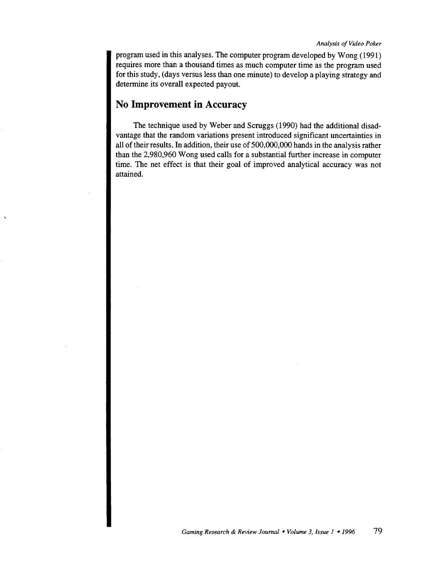program used in this analyses. The computer program developed by Wong (1991) requires more than a thousand times as much computer time as the program used for this study, (days versus less than one minute) to develop a playing strategy and determine its overall expected payout.

### **No Improvement in Accuracy**

The technique used by Weber and Scruggs (1990) had the additional disadvantage that the random variations present introduced significant uncertainties in all of their results. In addition, their use of 500,000,000 hands in the analysis rather than the 2,980,960 Wong used calls for a substantial further increase in computer time. The net effect is that their goal of improved analytical accuracy was not attained.